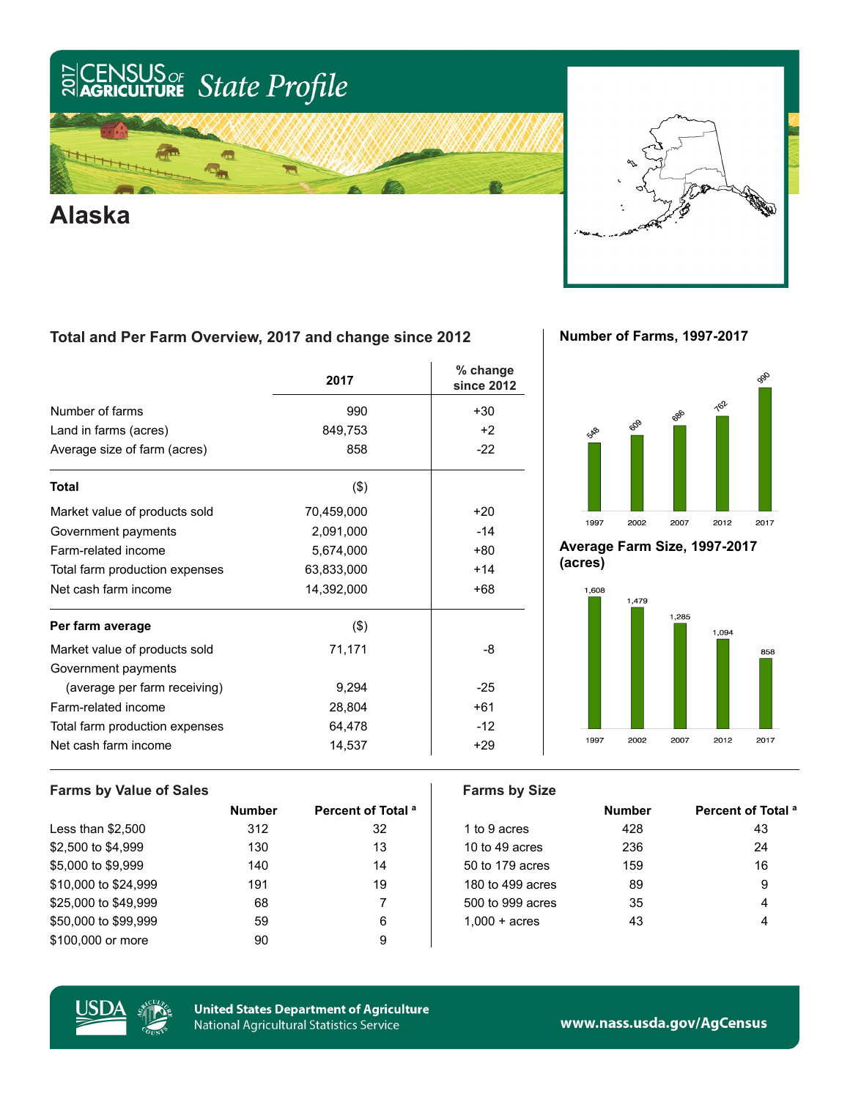## SUS<sub>or</sub><br>**ulture** State Profile  $\frac{25}{20}$ CE



**Alaska**



### **Total and Per Farm Overview, 2017 and change since 2012**

|                                | 2017       | % change<br>since 2012 |
|--------------------------------|------------|------------------------|
| Number of farms                | 990        | $+30$                  |
| Land in farms (acres)          | 849,753    | $+2$                   |
| Average size of farm (acres)   | 858        | $-22$                  |
| <b>Total</b>                   | $($ \$)    |                        |
| Market value of products sold  | 70,459,000 | $+20$                  |
| Government payments            | 2,091,000  | $-14$                  |
| Farm-related income            | 5,674,000  | $+80$                  |
| Total farm production expenses | 63,833,000 | $+14$                  |
| Net cash farm income           | 14,392,000 | $+68$                  |
| Per farm average               | (3)        |                        |
| Market value of products sold  | 71,171     | -8                     |
| Government payments            |            |                        |
| (average per farm receiving)   | 9,294      | $-25$                  |
| Farm-related income            | 28,804     | $+61$                  |
| Total farm production expenses | 64,478     | $-12$                  |
| Net cash farm income           | 14,537     | $+29$                  |

**Number of Farms, 1997-2017**



**Average Farm Size, 1997-2017 (acres)**



#### **Farms by Value of Sales Farms by Size**

|                      | <b>Number</b> | Percent of Total <sup>a</sup> |                        | <b>Number</b> | <b>Percent of T</b> |
|----------------------|---------------|-------------------------------|------------------------|---------------|---------------------|
| Less than $$2,500$   | 312           | 32                            | 1 to 9 acres           | 428           | 43                  |
| \$2,500 to \$4,999   | 130           | 13                            | 10 to 49 acres         | 236           | 24                  |
| \$5,000 to \$9,999   | 140           | 14                            | 50 to 179 acres        | 159           | 16                  |
| \$10,000 to \$24,999 | 191           | 19                            | 180 to 499 acres       | 89            | 9                   |
| \$25,000 to \$49,999 | 68            |                               | 500 to 999 acres       | 35            | 4                   |
| \$50,000 to \$99,999 | 59            | 6                             | $1.000 + \text{acres}$ | 43            | 4                   |
| \$100,000 or more    | 90            | 9                             |                        |               |                     |

| Number | Percent of Total <sup>a</sup> |                        | <b>Number</b> | Percent of Total <sup>a</sup> |
|--------|-------------------------------|------------------------|---------------|-------------------------------|
| 312    | 32                            | 1 to 9 acres           | 428           | 43                            |
| 130    | 13                            | 10 to 49 acres         | 236           | 24                            |
| 140    | 14                            | 50 to 179 acres        | 159           | 16                            |
| 191    | 19                            | 180 to 499 acres       | 89            | 9                             |
| 68     |                               | 500 to 999 acres       | 35            | 4                             |
| 59     | 6                             | $1.000 + \text{acres}$ | 43            | 4                             |
| - -    |                               |                        |               |                               |



**United States Department of Agriculture** National Agricultural Statistics Service

www.nass.usda.gov/AgCensus